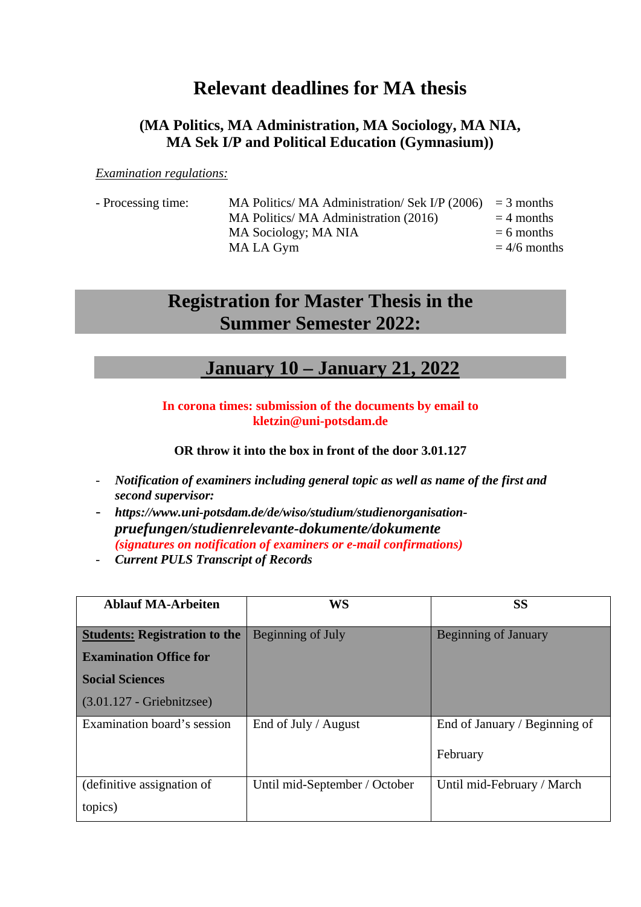## **Relevant deadlines for MA thesis**

## **(MA Politics, MA Administration, MA Sociology, MA NIA, MA Sek I/P and Political Education (Gymnasium))**

*Examination regulations:*

| - Processing time: | MA Politics/ MA Administration/ Sek I/P $(2006)$ = 3 months |                |
|--------------------|-------------------------------------------------------------|----------------|
|                    | MA Politics/ MA Administration (2016)                       | $=$ 4 months   |
|                    | MA Sociology; MA NIA                                        | $= 6$ months   |
|                    | MA LA Gym                                                   | $= 4/6$ months |
|                    |                                                             |                |

## **Registration for Master Thesis in the Summer Semester 2022:**

## **January 10 – January 21, 2022**

**In corona times: submission of the documents by email to [kletzin@uni-potsdam.de](mailto:kletzin@uni-potsdam.de)**

**OR throw it into the box in front of the door 3.01.127**

- *Notification of examiners including general topic as well as name of the first and second supervisor:*
- *https://www.uni-potsdam.de/de/wiso/studium/studienorganisationpruefungen/studienrelevante-dokumente/dokumente (signatures on notification of examiners or e-mail confirmations)*
- *Current PULS Transcript of Records*

| <b>Ablauf MA-Arbeiten</b>            | <b>WS</b>                     | <b>SS</b>                     |
|--------------------------------------|-------------------------------|-------------------------------|
| <b>Students: Registration to the</b> | Beginning of July             | <b>Beginning of January</b>   |
| <b>Examination Office for</b>        |                               |                               |
| <b>Social Sciences</b>               |                               |                               |
| $(3.01.127 - Griebnitzsee)$          |                               |                               |
| Examination board's session          | End of July / August          | End of January / Beginning of |
|                                      |                               | February                      |
| (definitive assignation of           | Until mid-September / October | Until mid-February / March    |
| topics)                              |                               |                               |